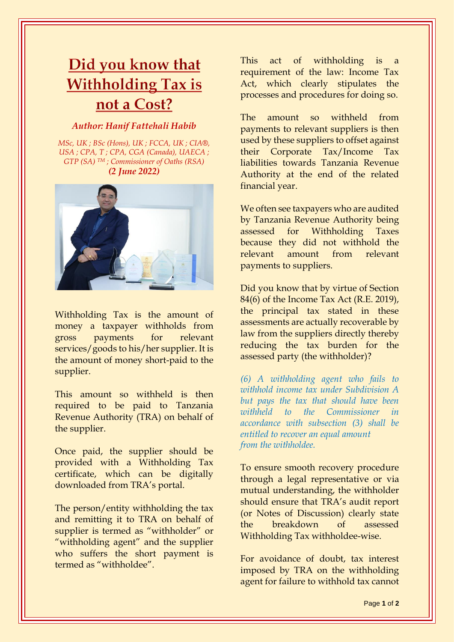## Did you know that **Withholding Tax is** not a Cost?

## *Author: Hanif Fattehali Habib*

*MSc, UK ; BSc (Hons), UK ; FCCA, UK ; CIA®, USA ; CPA, T ; CPA, CGA (Canada), UAECA ; GTP (SA) TM ; Commissioner of Oaths (RSA) (2 June 2022)*



Withholding Tax is the amount of money a taxpayer withholds from gross payments for relevant services/goods to his/her supplier. It is the amount of money short-paid to the supplier.

This amount so withheld is then required to be paid to Tanzania Revenue Authority (TRA) on behalf of the supplier.

Once paid, the supplier should be provided with a Withholding Tax certificate, which can be digitally downloaded from TRA's portal.

The person/entity withholding the tax and remitting it to TRA on behalf of supplier is termed as "withholder" or "withholding agent" and the supplier who suffers the short payment is termed as "withholdee".

This act of withholding is a requirement of the law: Income Tax Act, which clearly stipulates the processes and procedures for doing so.

The amount so withheld from payments to relevant suppliers is then used by these suppliers to offset against their Corporate Tax/Income Tax liabilities towards Tanzania Revenue Authority at the end of the related financial year.

We often see taxpayers who are audited by Tanzania Revenue Authority being assessed for Withholding Taxes because they did not withhold the relevant amount from relevant payments to suppliers.

Did you know that by virtue of Section 84(6) of the Income Tax Act (R.E. 2019), the principal tax stated in these assessments are actually recoverable by law from the suppliers directly thereby reducing the tax burden for the assessed party (the withholder)?

*(6) A withholding agent who fails to withhold income tax under Subdivision A but pays the tax that should have been withheld to the Commissioner in accordance with subsection (3) shall be entitled to recover an equal amount from the withholdee.*

To ensure smooth recovery procedure through a legal representative or via mutual understanding, the withholder should ensure that TRA's audit report (or Notes of Discussion) clearly state the breakdown of assessed Withholding Tax withholdee-wise.

For avoidance of doubt, tax interest imposed by TRA on the withholding agent for failure to withhold tax cannot